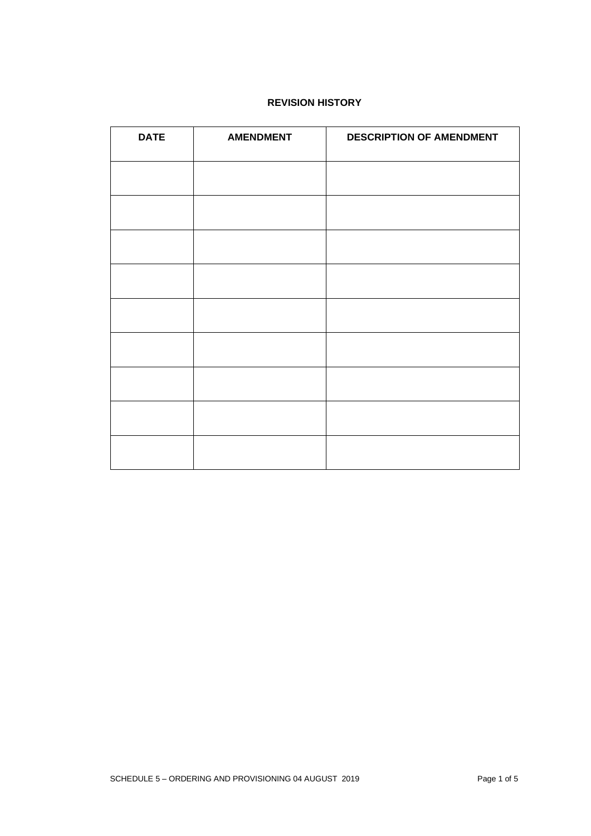# **REVISION HISTORY**

| <b>DATE</b> | <b>AMENDMENT</b> | <b>DESCRIPTION OF AMENDMENT</b> |
|-------------|------------------|---------------------------------|
|             |                  |                                 |
|             |                  |                                 |
|             |                  |                                 |
|             |                  |                                 |
|             |                  |                                 |
|             |                  |                                 |
|             |                  |                                 |
|             |                  |                                 |
|             |                  |                                 |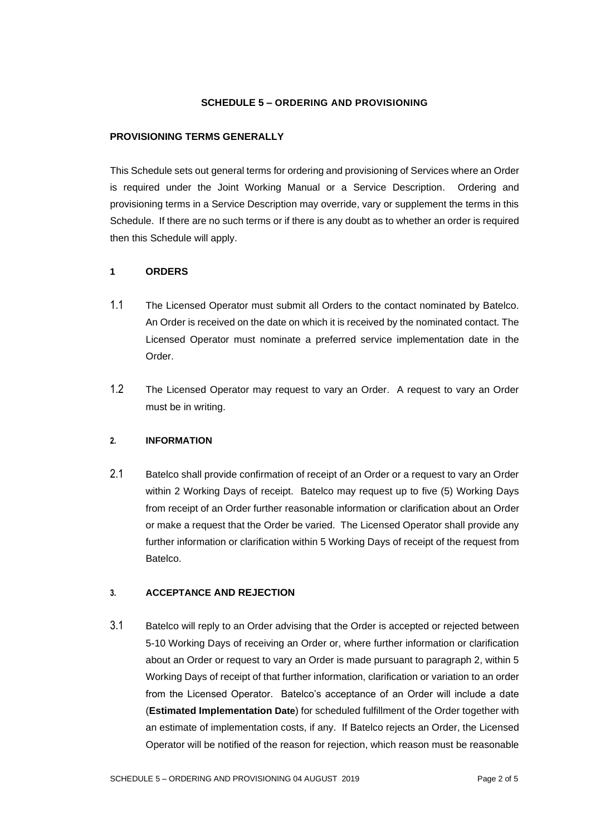## **SCHEDULE 5 – ORDERING AND PROVISIONING**

#### **PROVISIONING TERMS GENERALLY**

This Schedule sets out general terms for ordering and provisioning of Services where an Order is required under the Joint Working Manual or a Service Description. Ordering and provisioning terms in a Service Description may override, vary or supplement the terms in this Schedule. If there are no such terms or if there is any doubt as to whether an order is required then this Schedule will apply.

#### **1 ORDERS**

- 1.1 The Licensed Operator must submit all Orders to the contact nominated by Batelco. An Order is received on the date on which it is received by the nominated contact. The Licensed Operator must nominate a preferred service implementation date in the Order.
- 1.2 The Licensed Operator may request to vary an Order. A request to vary an Order must be in writing.

## **2. INFORMATION**

2.1 Batelco shall provide confirmation of receipt of an Order or a request to vary an Order within 2 Working Days of receipt. Batelco may request up to five (5) Working Days from receipt of an Order further reasonable information or clarification about an Order or make a request that the Order be varied. The Licensed Operator shall provide any further information or clarification within 5 Working Days of receipt of the request from Batelco.

#### **3. ACCEPTANCE AND REJECTION**

3.1 Batelco will reply to an Order advising that the Order is accepted or rejected between 5-10 Working Days of receiving an Order or, where further information or clarification about an Order or request to vary an Order is made pursuant to paragraph 2, within 5 Working Days of receipt of that further information, clarification or variation to an order from the Licensed Operator. Batelco's acceptance of an Order will include a date (**Estimated Implementation Date**) for scheduled fulfillment of the Order together with an estimate of implementation costs, if any. If Batelco rejects an Order, the Licensed Operator will be notified of the reason for rejection, which reason must be reasonable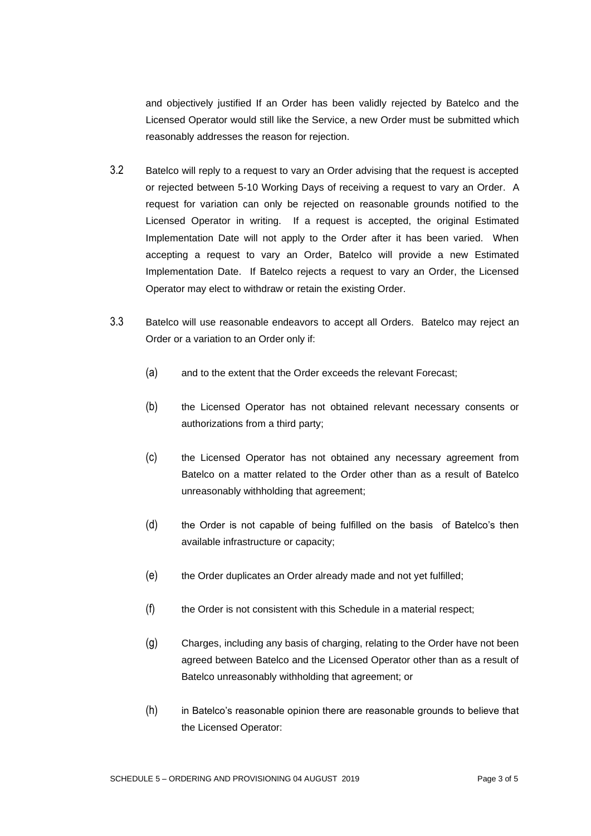and objectively justified If an Order has been validly rejected by Batelco and the Licensed Operator would still like the Service, a new Order must be submitted which reasonably addresses the reason for rejection.

- 3.2 Batelco will reply to a request to vary an Order advising that the request is accepted or rejected between 5-10 Working Days of receiving a request to vary an Order. A request for variation can only be rejected on reasonable grounds notified to the Licensed Operator in writing. If a request is accepted, the original Estimated Implementation Date will not apply to the Order after it has been varied. When accepting a request to vary an Order, Batelco will provide a new Estimated Implementation Date. If Batelco rejects a request to vary an Order, the Licensed Operator may elect to withdraw or retain the existing Order.
- 3.3 Batelco will use reasonable endeavors to accept all Orders. Batelco may reject an Order or a variation to an Order only if:
	- (a) and to the extent that the Order exceeds the relevant Forecast;
	- (b) the Licensed Operator has not obtained relevant necessary consents or authorizations from a third party;
	- (c) the Licensed Operator has not obtained any necessary agreement from Batelco on a matter related to the Order other than as a result of Batelco unreasonably withholding that agreement;
	- (d) the Order is not capable of being fulfilled on the basis of Batelco's then available infrastructure or capacity;
	- (e) the Order duplicates an Order already made and not yet fulfilled;
	- (f) the Order is not consistent with this Schedule in a material respect;
	- (g) Charges, including any basis of charging, relating to the Order have not been agreed between Batelco and the Licensed Operator other than as a result of Batelco unreasonably withholding that agreement; or
	- (h) in Batelco's reasonable opinion there are reasonable grounds to believe that the Licensed Operator: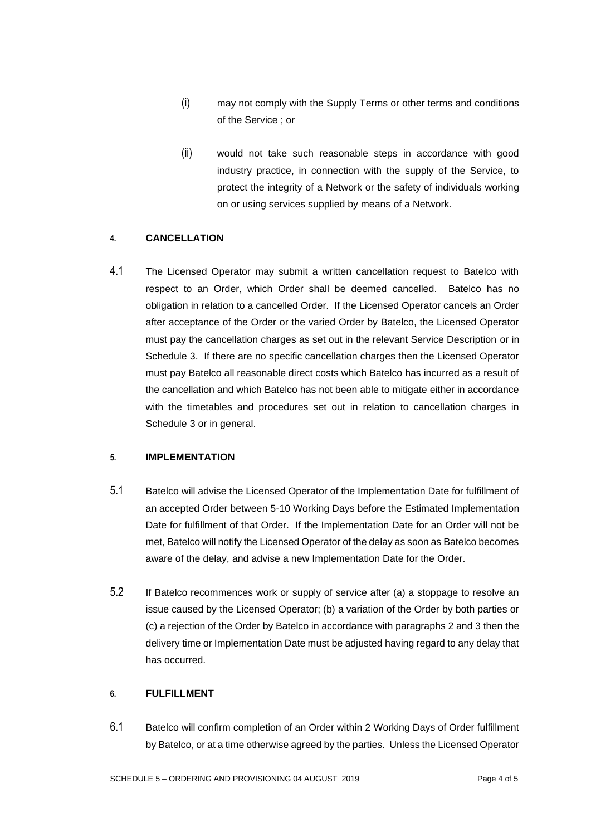- (i) may not comply with the Supply Terms or other terms and conditions of the Service ; or
- (ii) would not take such reasonable steps in accordance with good industry practice, in connection with the supply of the Service, to protect the integrity of a Network or the safety of individuals working on or using services supplied by means of a Network.

## **4. CANCELLATION**

4.1 The Licensed Operator may submit a written cancellation request to Batelco with respect to an Order, which Order shall be deemed cancelled. Batelco has no obligation in relation to a cancelled Order. If the Licensed Operator cancels an Order after acceptance of the Order or the varied Order by Batelco, the Licensed Operator must pay the cancellation charges as set out in the relevant Service Description or in Schedule 3. If there are no specific cancellation charges then the Licensed Operator must pay Batelco all reasonable direct costs which Batelco has incurred as a result of the cancellation and which Batelco has not been able to mitigate either in accordance with the timetables and procedures set out in relation to cancellation charges in Schedule 3 or in general.

## **5. IMPLEMENTATION**

- 5.1 Batelco will advise the Licensed Operator of the Implementation Date for fulfillment of an accepted Order between 5-10 Working Days before the Estimated Implementation Date for fulfillment of that Order. If the Implementation Date for an Order will not be met, Batelco will notify the Licensed Operator of the delay as soon as Batelco becomes aware of the delay, and advise a new Implementation Date for the Order.
- 5.2 If Batelco recommences work or supply of service after (a) a stoppage to resolve an issue caused by the Licensed Operator; (b) a variation of the Order by both parties or (c) a rejection of the Order by Batelco in accordance with paragraphs 2 and 3 then the delivery time or Implementation Date must be adjusted having regard to any delay that has occurred.

## **6. FULFILLMENT**

6.1 Batelco will confirm completion of an Order within 2 Working Days of Order fulfillment by Batelco, or at a time otherwise agreed by the parties. Unless the Licensed Operator